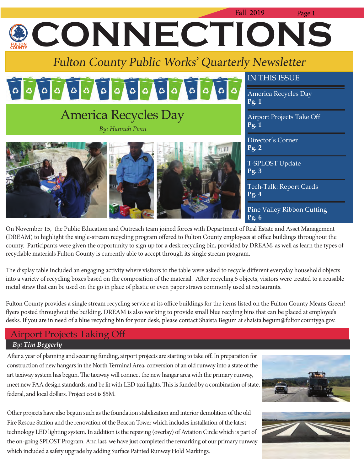

On November 15, the Public Education and Outreach team joined forces with Department of Real Estate and Asset Management (DREAM) to highlight the single-stream recycling program offered to Fulton County employees at office buildings throughout the county. Participants were given the opportunity to sign up for a desk recycling bin, provided by DREAM, as well as learn the types of recyclable materials Fulton County is currently able to accept through its single stream program.

The display table included an engaging activity where visitors to the table were asked to recycle different everyday household objects into a variety of recycling boxes based on the composition of the material. After recycling 5 objects, visitors were treated to a reusable metal straw that can be used on the go in place of plastic or even paper straws commonly used at restaurants.

Fulton County provides a single stream recycling service at its office buildings for the items listed on the Fulton County Means Green! flyers posted throughout the building. DREAM is also working to provide small blue recyling bins that can be placed at employee's desks. If you are in need of a blue recycling bin for your desk, please contact Shaista Begum at shaista.begum@fultoncountyga.gov.

## Airport Projects Taking Off  *By: Tim Beggerly*

After a year of planning and securing funding, airport projects are starting to take off. In preparation for construction of new hangars in the North Terminal Area, conversion of an old runway into a state of the art taxiway system has begun. The taxiway will connect the new hangar area with the primary runway, meet new FAA design standards, and be lit with LED taxi lights. This is funded by a combination of state, federal, and local dollars. Project cost is \$5M.

Other projects have also begun such as the foundation stabilization and interior demolition of the old Fire Rescue Station and the renovation of the Beacon Tower which includes installation of the latest technology LED lighting system. In addition is the repaving (overlay) of Aviation Circle which is part of the on-going SPLOST Program. And last, we have just completed the remarking of our primary runway which included a safety upgrade by adding Surface Painted Runway Hold Markings.



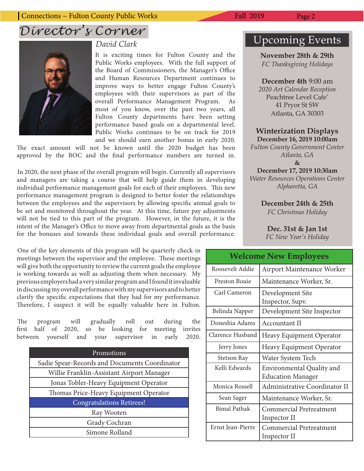

## *David Clark*

It is exciting times for Fulton County and the Public Works employees. With the full support of the Board of Commissioners, the Manager's Office and Human Resources Department continues to improve ways to better engage Fulton County's employees with their supervisors as part of the overall Performance Management Program. As most of you know, over the past two years, all Fulton County departments have been setting performance based goals on a departmental level. Public Works continues to be on track for 2019 and we should earn another bonus in early 2020.

The exact amount will not be known until the 2020 budget has been approved by the BOC and the final performance numbers are turned in.

In 2020, the next phase of the overall program will begin. Currently all supervisors and managers are taking a course that will help guide them in developing individual performance management goals for each of their employees. This new performance management program is designed to better foster the relationships between the employees and the supervisors by allowing specific annual goals to be set and monitored throughout the year. At this time, future pay adjustments will not be tied to this part of the program. However, in the future, it is the intent of the Manager's Office to move away from departmental goals as the basis for the bonuses and towards these individual goals and overall performance.

One of the key elements of this program will be quarterly check-in meetings between the supervisor and the employee. These meetings will give both the opportunity to review the current goals the employee is working towards as well as adjusting them when necessary. My previous employers had a very similar program and I found it invaluable in discussing my overall performance with my supervisors and to better clarify the specific expectations that they had for my performance. Therefore, I suspect it will be equally valuable here in Fulton.

The program will gradually roll out during the first half of 2020, so be looking for meeting invites between yourself and your supervisor in early 2020.

| Promotions                                    |  |  |
|-----------------------------------------------|--|--|
| Sadie Spear-Records and Documents Coordinator |  |  |
| Willie Franklin-Assistant Airport Manager     |  |  |
| Jonas Tobler-Heavy Equipment Operator         |  |  |
| Thomas Price-Heavy Equipment Operator         |  |  |
| <b>Congratulations Retirees!</b>              |  |  |
| Ray Wooten                                    |  |  |
| Grady Cochran                                 |  |  |
| Simone Rolland                                |  |  |

## Upcoming Events

## **November 28th & 29th**

*FC Thanksgiving Holidays* 

**December 4th** 9:00 am

*2020 Art Calendar Reception* Peachtree Level Cafe' 41 Pryor St SW Atlanta, GA 30303

## **Winterization Displays December 16, 2019 10:00am**

*Fulton County Government Center Atlanta, GA*  **&**

**December 17, 2019 10:30am** *Water Resources Operations Center Alpharetta, GA* 

> **December 24th & 25th** *FC Christmas Holiday*

**Dec. 31st & Jan 1st** *FC New Year's Holiday*

| <b>Welcome New Employees</b> |                                |  |  |  |  |
|------------------------------|--------------------------------|--|--|--|--|
| Roosevelt Addie              | Airport Maintenance Worker     |  |  |  |  |
| Preston Bouje                | Maintenance Worker, Sr.        |  |  |  |  |
| Carl Cameron                 | Development Site               |  |  |  |  |
|                              | Inspector, Supv.               |  |  |  |  |
| Belinda Napper               | Development Site Inspector     |  |  |  |  |
| Doneshia Adams               | Accountant II                  |  |  |  |  |
| Clarence Husband             | Heavy Equipment Operator       |  |  |  |  |
| Jerry Jones                  | Heavy Equipment Operator       |  |  |  |  |
| Stetson Ray                  | Water System Tech              |  |  |  |  |
| Kelli Edwards                | Environmental Quality and      |  |  |  |  |
|                              | <b>Education Manager</b>       |  |  |  |  |
| Monica Rossell               | Administrative Coordinator II  |  |  |  |  |
| Sean Sager                   | Maintenance Worker, Sr.        |  |  |  |  |
| Bimal Pathak                 | Commercial Pretreatment        |  |  |  |  |
|                              | Inspector II                   |  |  |  |  |
| Ernst Jean-Pierre            | <b>Commercial Pretreatment</b> |  |  |  |  |
|                              | Inspector II                   |  |  |  |  |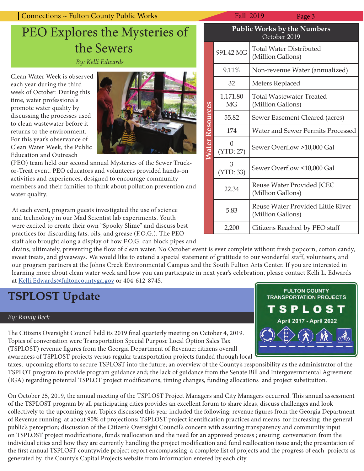| Connections ~ Fulton County Public Works                                                                                                            |  | <b>Fall 2019</b>                        | Page 3                                             |  |
|-----------------------------------------------------------------------------------------------------------------------------------------------------|--|-----------------------------------------|----------------------------------------------------|--|
| PEO Explores the Mysteries of                                                                                                                       |  | Public Works by the Nun<br>October 2019 |                                                    |  |
| the Sewers<br>By: Kelli Edwards                                                                                                                     |  | 991.42 MG                               | <b>Total Water Distribute</b><br>(Million Gallons) |  |
| Clean Water Week is observed<br>each year during the third<br>week of October. During this<br>time, water professionals<br>promote water quality by |  | 9.11%                                   | Non-revenue Water (a                               |  |
|                                                                                                                                                     |  | 32                                      | Meters Replaced                                    |  |
|                                                                                                                                                     |  | 1,171.80<br><b>MG</b>                   | <b>Total Wastewater Tre</b><br>(Million Gallons)   |  |
| discussing the processes used<br>to alago sugatosustan kafana it                                                                                    |  | 55.82                                   | Sewer Easement Clear                               |  |

to clean wastewater before it returns to the environment. For this year's observance of Clean Water Week, the Public Education and Outreach



(PEO) team held our second annual Mysteries of the Sewer Truckor-Treat event. PEO educators and volunteers provided hands-on activities and experiences, designed to encourage community members and their families to think about pollution prevention and water quality.

At each event, program guests investigated the use of science and technology in our Mad Scientist lab experiments. Youth were excited to create their own "Spooky Slime" and discuss best practices for discarding fats, oils, and grease (F.O.G.). The PEO staff also brought along a display of how F.O.G. can block pipes and

drains, ultimately, preventing the flow of clean water. No October event is ever complete without fresh popcorn, cotton candy, sweet treats, and giveaways. We would like to extend a special statement of gratitude to our wonderful staff, volunteers, and our program partners at the Johns Creek Environmental Campus and the South Fulton Arts Center. If you are interested in learning more about clean water week and how you can participate in next year's celebration, please contact Kelli L. Edwards at Kelli.Edwards@fultoncountyga.gov or 404-612-8745.

# **TSPLOST Update**

## *By: Randy Beck*

The Citizens Oversight Council held its 2019 final quarterly meeting on October 4, 2019. Topics of conversation were Transportation Special Purpose Local Option Sales Tax (TSPLOST) revenue figures from the Georgia Department of Revenue; citizens overall awareness of TSPLOST projects versus regular transportation projects funded through local

taxes; upcoming efforts to secure TSPLOST into the future; an overview of the County's responsibility as the administrator of the TSPLOT program to provide program guidance and; the lack of guidance from the Senate Bill and Intergovernmental Agreement (IGA) regarding potential TSPLOT project modifications, timing changes, funding allocations and project substitution.

On October 25, 2019, the annual meeting of the TSPLOST Project Managers and City Managers occurred. This annual assessment of the TSPLOST program by all participating cities provides an excellent forum to share ideas, discuss challenges and look collectively to the upcoming year. Topics discussed this year included the following: revenue figures from the Georgia Department of Revenue running at about 90% of projections; TSPLOST project identification practices and means for increasing the general public's perception; discussion of the Citizen's Oversight Council's concern with assuring transparency and community input on TSPLOST project modifications, funds reallocation and the need for an approved process; ensuing conversation from the individual cities and how they are currently handling the project modification and fund reallocation issue and; the presentation of the first annual TSPLOST countywide project report encompassing a complete list of projects and the progress of each projects as generated by the County's Capital Projects website from information entered by each city.

|                 | ган догу                                           | rage <i>J</i>                                          |  |  |  |  |
|-----------------|----------------------------------------------------|--------------------------------------------------------|--|--|--|--|
|                 | <b>Public Works by the Numbers</b><br>October 2019 |                                                        |  |  |  |  |
| Vater Resources | 991.42 MG                                          | <b>Total Water Distributed</b><br>(Million Gallons)    |  |  |  |  |
|                 | 9.11%                                              | Non-revenue Water (annualized)                         |  |  |  |  |
|                 | 32                                                 | Meters Replaced                                        |  |  |  |  |
|                 | 1,171.80<br><b>MG</b>                              | Total Wastewater Treated<br>(Million Gallons)          |  |  |  |  |
|                 | 55.82                                              | Sewer Easement Cleared (acres)                         |  |  |  |  |
|                 | 174                                                | <b>Water and Sewer Permits Processed</b>               |  |  |  |  |
|                 | (YTD: 27)                                          | Sewer Overflow >10,000 Gal                             |  |  |  |  |
|                 | 3<br>(YTD: 33)                                     | Sewer Overflow <10,000 Gal                             |  |  |  |  |
|                 | 22.34                                              | Reuse Water Provided JCEC<br>(Million Gallons)         |  |  |  |  |
|                 | 5.83                                               | Reuse Water Provided Little River<br>(Million Gallons) |  |  |  |  |
|                 | 2,200                                              | Citizens Reached by PEO staff                          |  |  |  |  |

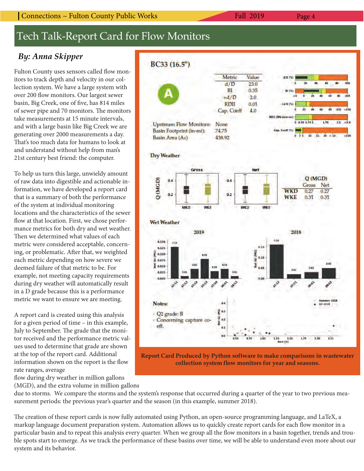### Connections ~ Fulton County Public Works Fall 2019 Page 4

# Tech Talk-Report Card for Flow Monitors

## *By: Anna Skipper*

Fulton County uses sensors called flow monitors to track depth and velocity in our collection system. We have a large system with over 200 flow monitors. Our largest sewer basin, Big Creek, one of five, has 814 miles of sewer pipe and 70 monitors. The monitors take measurements at 15 minute intervals, and with a large basin like Big Creek we are generating over 2000 measurements a day. That's too much data for humans to look at and understand without help from man's 21st century best friend: the computer.

To help us turn this large, unwieldy amount of raw data into digestible and actionable information, we have developed a report card that is a summary of both the performance of the system at individual monitoring locations and the characteristics of the sewer flow at that location. First, we chose performance metrics for both dry and wet weather. Then we determined what values of each metric were considered acceptable, concerning, or problematic. After that, we weighted each metric depending on how severe we deemed failure of that metric to be. For example, not meeting capacity requirements during dry weather will automatically result in a D grade because this is a performance metric we want to ensure we are meeting.

A report card is created using this analysis for a given period of time – in this example, July to September. The grade that the monitor received and the performance metric values used to determine that grade are shown at the top of the report card. Additional information shown on the report is the flow rate ranges, average

flow during dry weather in million gallons (MGD), and the extra volume in million gallons



**Report Card Produced by Python software to make comparisons in wastewater**  collection system flow monitors for year and seasons.

due to storms. We compare the storms and the system's response that occurred during a quarter of the year to two previous measurement periods: the previous year's quarter and the season (in this example, summer 2018).

The creation of these report cards is now fully automated using Python, an open-source programming language, and LaTeX, a markup language document preparation system. Automation allows us to quickly create report cards for each flow monitor in a particular basin and to repeat this analysis every quarter. When we group all the flow monitors in a basin together, trends and trouble spots start to emerge. As we track the performance of these basins over time, we will be able to understand even more about our system and its behavior.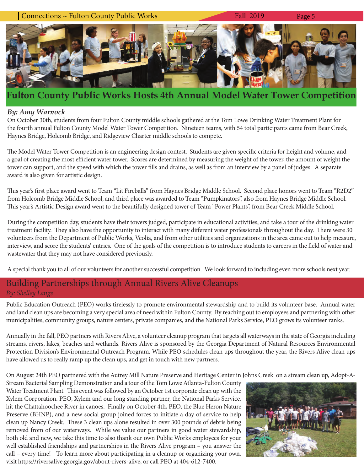

## **Fulton County Public Works Hosts 4th Annual Model Water Tower Competition**

## *By: Amy Warnock*

On October 30th, students from four Fulton County middle schools gathered at the Tom Lowe Drinking Water Treatment Plant for the fourth annual Fulton County Model Water Tower Competition. Nineteen teams, with 54 total participants came from Bear Creek, Haynes Bridge, Holcomb Bridge, and Ridgeview Charter middle schools to compete.

The Model Water Tower Competition is an engineering design contest. Students are given specific criteria for height and volume, and a goal of creating the most efficient water tower. Scores are determined by measuring the weight of the tower, the amount of weight the tower can support, and the speed with which the tower fills and drains, as well as from an interview by a panel of judges. A separate award is also given for artistic design.

This year's first place award went to Team "Lit Fireballs" from Haynes Bridge Middle School. Second place honors went to Team "R2D2" from Holcomb Bridge Middle School, and third place was awarded to Team "Pumpkinators", also from Haynes Bridge Middle School. This year's Artistic Design award went to the beautifully designed tower of Team "Power Plants", from Bear Creek Middle School.

During the competition day, students have their towers judged, participate in educational activities, and take a tour of the drinking water treatment facility. They also have the opportunity to interact with many different water professionals throughout the day. There were 30 volunteers from the Department of Public Works, Veolia, and from other utilities and organizations in the area came out to help measure, interview, and score the students' entries. One of the goals of the competition is to introduce students to careers in the field of water and wastewater that they may not have considered previously.

A special thank you to all of our volunteers for another successful competition. We look forward to including even more schools next year.

## Building Partnerships through Annual Rivers Alive Cleanups *By: Shelley Lange*

Public Education Outreach (PEO) works tirelessly to promote environmental stewardship and to build its volunteer base. Annual water and land clean ups are becoming a very special area of need within Fulton County. By reaching out to employees and partnering with other municipalities, community groups, nature centers, private companies, and the National Parks Service, PEO grows its volunteer ranks.

Annually in the fall, PEO partners with Rivers Alive, a volunteer cleanup program that targets all waterways in the state of Georgia including streams, rivers, lakes, beaches and wetlands. Rivers Alive is sponsored by the Georgia Department of Natural Resources Environmental Protection Division's Environmental Outreach Program. While PEO schedules clean ups throughout the year, the Rivers Alive clean ups have allowed us to really ramp up the clean ups, and get in touch with new partners.

On August 24th PEO partnered with the Autrey Mill Nature Preserve and Heritage Center in Johns Creek on a stream clean up, Adopt-A-

Stream Bacterial Sampling Demonstration and a tour of the Tom Lowe Atlanta-Fulton County Water Treatment Plant. This event was followed by an October 1st corporate clean up with the Xylem Corporation. PEO, Xylem and our long standing partner, the National Parks Service, hit the Chattahoochee River in canoes. Finally on October 4th, PEO, the Blue Heron Nature Preserve (BHNP), and a new social group joined forces to initiate a day of service to help clean up Nancy Creek. These 3 clean ups alone resulted in over 300 pounds of debris being removed from of our waterways. While we value our partners in good water stewardship, both old and new, we take this time to also thank our own Public Works employees for your well established friendships and partnerships in the Rivers Alive program – you answer the call – every time! To learn more about participating in a cleanup or organizing your own, visit https://riversalive.georgia.gov/about-rivers-alive, or call PEO at 404-612-7400.